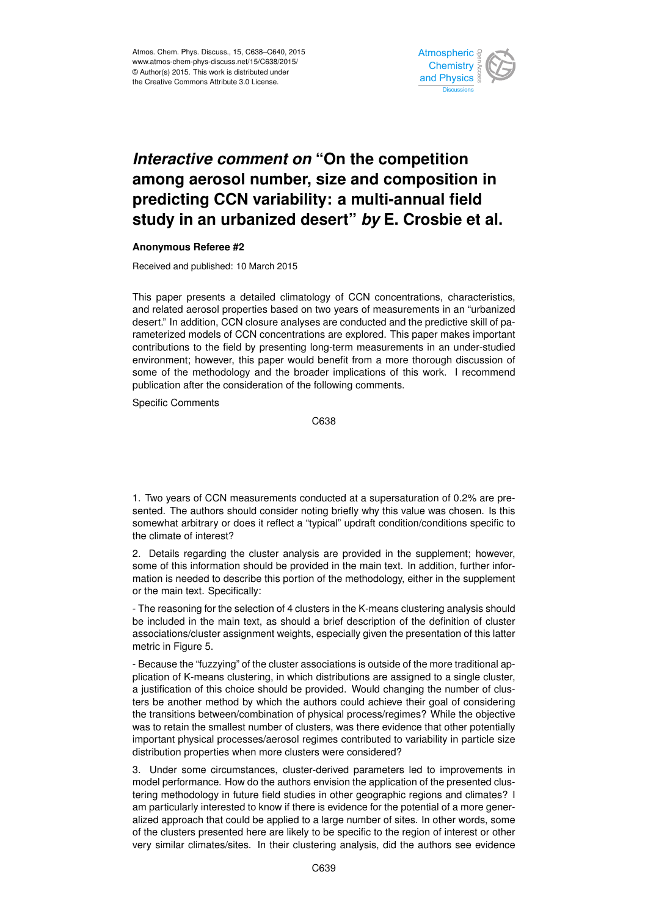

## *Interactive comment on* **"On the competition among aerosol number, size and composition in predicting CCN variability: a multi-annual field study in an urbanized desert"** *by* **E. Crosbie et al.**

## **Anonymous Referee #2**

Received and published: 10 March 2015

This paper presents a detailed climatology of CCN concentrations, characteristics, and related aerosol properties based on two years of measurements in an "urbanized desert." In addition, CCN closure analyses are conducted and the predictive skill of parameterized models of CCN concentrations are explored. This paper makes important contributions to the field by presenting long-term measurements in an under-studied environment; however, this paper would benefit from a more thorough discussion of some of the methodology and the broader implications of this work. I recommend publication after the consideration of the following comments.

Specific Comments

C638

1. Two years of CCN measurements conducted at a supersaturation of 0.2% are presented. The authors should consider noting briefly why this value was chosen. Is this somewhat arbitrary or does it reflect a "typical" updraft condition/conditions specific to the climate of interest?

2. Details regarding the cluster analysis are provided in the supplement; however, some of this information should be provided in the main text. In addition, further information is needed to describe this portion of the methodology, either in the supplement or the main text. Specifically:

- The reasoning for the selection of 4 clusters in the K-means clustering analysis should be included in the main text, as should a brief description of the definition of cluster associations/cluster assignment weights, especially given the presentation of this latter metric in Figure 5.

- Because the "fuzzying" of the cluster associations is outside of the more traditional application of K-means clustering, in which distributions are assigned to a single cluster, a justification of this choice should be provided. Would changing the number of clusters be another method by which the authors could achieve their goal of considering the transitions between/combination of physical process/regimes? While the objective was to retain the smallest number of clusters, was there evidence that other potentially important physical processes/aerosol regimes contributed to variability in particle size distribution properties when more clusters were considered?

3. Under some circumstances, cluster-derived parameters led to improvements in model performance. How do the authors envision the application of the presented clustering methodology in future field studies in other geographic regions and climates? I am particularly interested to know if there is evidence for the potential of a more generalized approach that could be applied to a large number of sites. In other words, some of the clusters presented here are likely to be specific to the region of interest or other very similar climates/sites. In their clustering analysis, did the authors see evidence